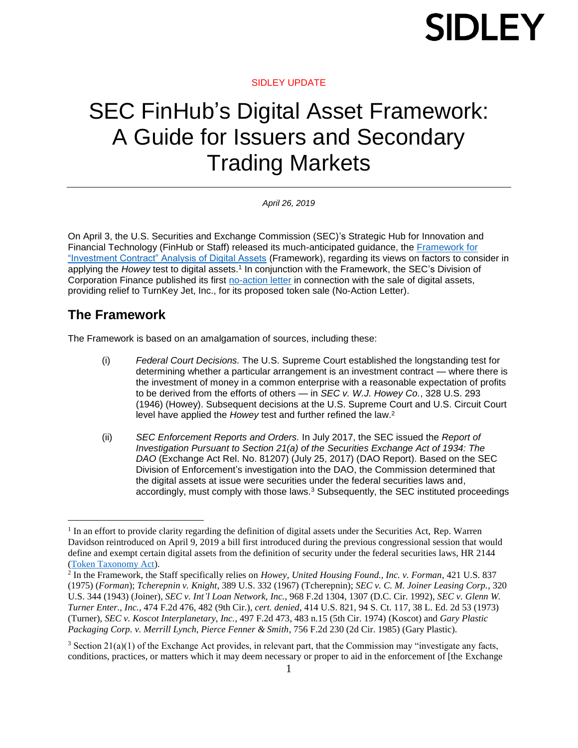#### SIDLEY UPDATE

### SEC FinHub's Digital Asset Framework: A Guide for Issuers and Secondary Trading Markets

*April 26, 2019* 

On April 3, the U.S. Securities and Exchange Commission (SEC)'s Strategic Hub for Innovation and Financial Technology (FinHub or Staff) released its much-anticipated guidance, the [Framework for](https://www.sec.gov/files/dlt-framework.pdf)  ["Investment Contract" Analysis of Digital Assets](https://www.sec.gov/files/dlt-framework.pdf) (Framework), regarding its views on factors to consider in applying the *Howey* test to digital assets.<sup>1</sup> In conjunction with the Framework, the SEC's Division of Corporation Finance published its first [no-action letter](https://www.sec.gov/divisions/corpfin/cf-noaction/2019/turnkey-jet-040219-2a1.htm) in connection with the sale of digital assets, providing relief to TurnKey Jet, Inc., for its proposed token sale (No-Action Letter).

### **The Framework**

 $\overline{a}$ 

The Framework is based on an amalgamation of sources, including these:

- (i) *Federal Court Decisions.* The U.S. Supreme Court established the longstanding test for determining whether a particular arrangement is an investment contract — where there is the investment of money in a common enterprise with a reasonable expectation of profits to be derived from the efforts of others — in *SEC v. W.J. Howey Co.*, 328 U.S. 293 (1946) (Howey). Subsequent decisions at the U.S. Supreme Court and U.S. Circuit Court level have applied the *Howey* test and further refined the law. 2
- (ii) *SEC Enforcement Reports and Orders.* In July 2017, the SEC issued the *Report of Investigation Pursuant to Section 21(a) of the Securities Exchange Act of 1934: The DAO* (Exchange Act Rel. No. 81207) (July 25, 2017) (DAO Report). Based on the SEC Division of Enforcement's investigation into the DAO, the Commission determined that the digital assets at issue were securities under the federal securities laws and, accordingly, must comply with those laws.<sup>3</sup> Subsequently, the SEC instituted proceedings

<sup>&</sup>lt;sup>1</sup> In an effort to provide clarity regarding the definition of digital assets under the Securities Act, Rep. Warren Davidson reintroduced on April 9, 2019 a bill first introduced during the previous congressional session that would define and exempt certain digital assets from the definition of security under the federal securities laws, HR 2144 [\(Token Taxonomy Act\)](https://www.congress.gov/bill/116th-congress/house-bill/2144?q=%7B%22search%22%3A%5B%22%5C%22Securities+act%5C%22%22%5D%7D&s=4&r=1).

<sup>2</sup> In the Framework, the Staff specifically relies on *Howey*, *United Housing Found., Inc. v. Forman*, 421 U.S. 837 (1975) (*Forman*); *Tcherepnin v. Knight*, 389 U.S. 332 (1967) (Tcherepnin); *SEC v. C. M. Joiner Leasing Corp.*, 320 U.S. 344 (1943) (Joiner), *SEC v. Int'l Loan Network, Inc.*, 968 F.2d 1304, 1307 (D.C. Cir. 1992), *SEC v. Glenn W. Turner Enter., Inc.*, 474 F.2d 476, 482 (9th Cir.), *cert. denied*, 414 U.S. 821, 94 S. Ct. 117, 38 L. Ed. 2d 53 (1973) (Turner), *SEC v. Koscot Interplanetary, Inc.*, 497 F.2d 473, 483 n.15 (5th Cir. 1974) (Koscot) and *Gary Plastic Packaging Corp. v. Merrill Lynch, Pierce Fenner & Smith*, 756 F.2d 230 (2d Cir. 1985) (Gary Plastic).

<sup>3</sup> Section 21(a)(1) of the Exchange Act provides, in relevant part, that the Commission may "investigate any facts, conditions, practices, or matters which it may deem necessary or proper to aid in the enforcement of [the Exchange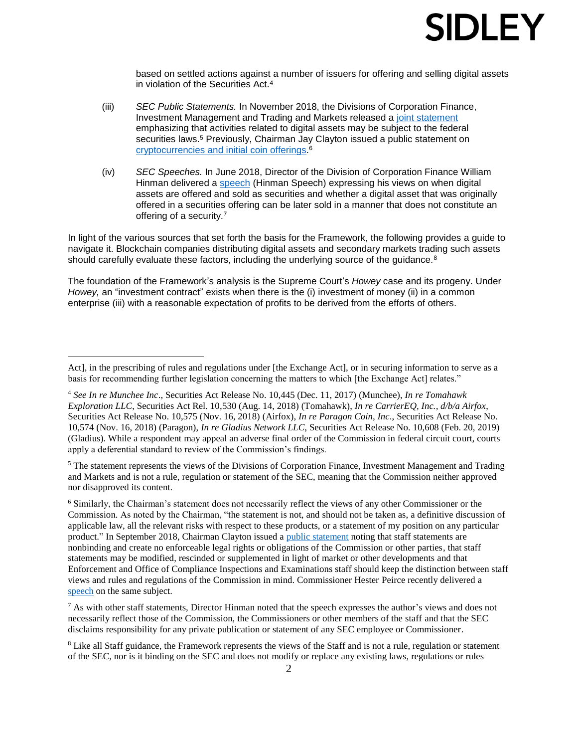based on settled actions against a number of issuers for offering and selling digital assets in violation of the Securities Act.<sup>4</sup>

- (iii) *SEC Public Statements.* In November 2018, the Divisions of Corporation Finance, Investment Management and Trading and Markets released a [joint statement](https://www.sec.gov/news/public-statement/digital-asset-securites-issuuance-and-trading) emphasizing that activities related to digital assets may be subject to the federal securities laws.<sup>5</sup> Previously, Chairman Jay Clayton issued a public statement on [cryptocurrencies and initial coin offerings.](https://www.sec.gov/news/public-statement/statement-clayton-2017-12-11) 6
- (iv) *SEC Speeches.* In June 2018, Director of the Division of Corporation Finance William Hinman delivered a [speech](https://www.sec.gov/news/speech/speech-hinman-061418) (Hinman Speech) expressing his views on when digital assets are offered and sold as securities and whether a digital asset that was originally offered in a securities offering can be later sold in a manner that does not constitute an offering of a security.<sup>7</sup>

In light of the various sources that set forth the basis for the Framework, the following provides a guide to navigate it. Blockchain companies distributing digital assets and secondary markets trading such assets should carefully evaluate these factors, including the underlying source of the guidance.<sup>8</sup>

The foundation of the Framework's analysis is the Supreme Court's *Howey* case and its progeny. Under *Howey,* an "investment contract" exists when there is the (i) investment of money (ii) in a common enterprise (iii) with a reasonable expectation of profits to be derived from the efforts of others.

 $\overline{a}$ 

<sup>5</sup> The statement represents the views of the Divisions of Corporation Finance, Investment Management and Trading and Markets and is not a rule, regulation or statement of the SEC, meaning that the Commission neither approved nor disapproved its content.

<sup>6</sup> Similarly, the Chairman's statement does not necessarily reflect the views of any other Commissioner or the Commission. As noted by the Chairman, "the statement is not, and should not be taken as, a definitive discussion of applicable law, all the relevant risks with respect to these products, or a statement of my position on any particular product." In September 2018, Chairman Clayton issued a [public statement](https://www.sec.gov/news/public-statement/statement-clayton-091318) noting that staff statements are nonbinding and create no enforceable legal rights or obligations of the Commission or other parties, that staff statements may be modified, rescinded or supplemented in light of market or other developments and that Enforcement and Office of Compliance Inspections and Examinations staff should keep the distinction between staff views and rules and regulations of the Commission in mind. Commissioner Hester Peirce recently delivered a [speech](https://www.sec.gov/news/speech/peirce-secret-garden-sec-speaks-040819) on the same subject.

<sup>7</sup> As with other staff statements, Director Hinman noted that the speech expresses the author's views and does not necessarily reflect those of the Commission, the Commissioners or other members of the staff and that the SEC disclaims responsibility for any private publication or statement of any SEC employee or Commissioner.

<sup>8</sup> Like all Staff guidance, the Framework represents the views of the Staff and is not a rule, regulation or statement of the SEC, nor is it binding on the SEC and does not modify or replace any existing laws, regulations or rules

Act], in the prescribing of rules and regulations under [the Exchange Act], or in securing information to serve as a basis for recommending further legislation concerning the matters to which [the Exchange Act] relates."

<sup>4</sup> *See In re Munchee Inc*., Securities Act Release No. 10,445 (Dec. 11, 2017) (Munchee), *In re Tomahawk Exploration LLC*, Securities Act Rel. 10,530 (Aug. 14, 2018) (Tomahawk), *In re CarrierEQ, Inc., d/b/a Airfox*, Securities Act Release No. 10,575 (Nov. 16, 2018) (Airfox), *In re Paragon Coin, Inc*., Securities Act Release No. 10,574 (Nov. 16, 2018) (Paragon), *In re Gladius Network LLC*, Securities Act Release No. 10,608 (Feb. 20, 2019) (Gladius). While a respondent may appeal an adverse final order of the Commission in federal circuit court, courts apply a deferential standard to review of the Commission's findings.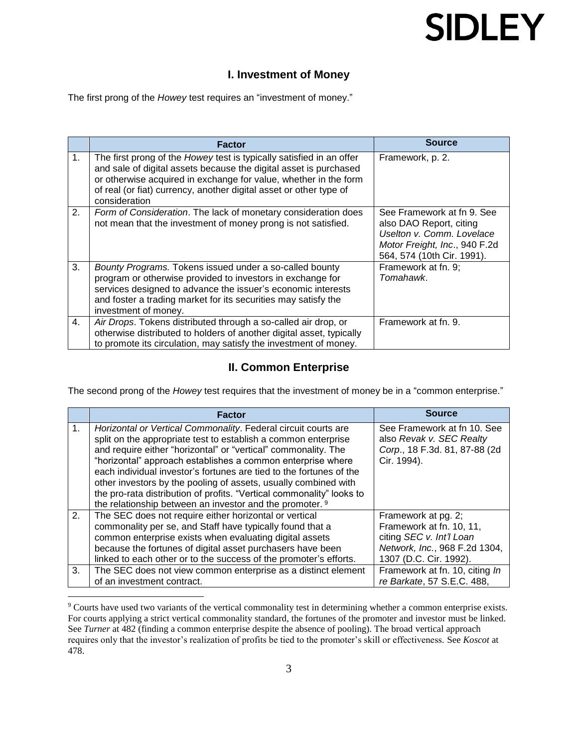#### **I. Investment of Money**

The first prong of the *Howey* test requires an "investment of money."

|    | <b>Factor</b>                                                                                                                                                                                                                                                                                        | <b>Source</b>                                                                                                                                     |
|----|------------------------------------------------------------------------------------------------------------------------------------------------------------------------------------------------------------------------------------------------------------------------------------------------------|---------------------------------------------------------------------------------------------------------------------------------------------------|
| 1. | The first prong of the Howey test is typically satisfied in an offer<br>and sale of digital assets because the digital asset is purchased<br>or otherwise acquired in exchange for value, whether in the form<br>of real (or fiat) currency, another digital asset or other type of<br>consideration | Framework, p. 2.                                                                                                                                  |
| 2. | Form of Consideration. The lack of monetary consideration does<br>not mean that the investment of money prong is not satisfied.                                                                                                                                                                      | See Framework at fn 9. See<br>also DAO Report, citing<br>Uselton v. Comm. Lovelace<br>Motor Freight, Inc., 940 F.2d<br>564, 574 (10th Cir. 1991). |
| 3. | Bounty Programs. Tokens issued under a so-called bounty<br>program or otherwise provided to investors in exchange for<br>services designed to advance the issuer's economic interests<br>and foster a trading market for its securities may satisfy the<br>investment of money.                      | Framework at fn. 9;<br>Tomahawk.                                                                                                                  |
| 4. | Air Drops. Tokens distributed through a so-called air drop, or<br>otherwise distributed to holders of another digital asset, typically<br>to promote its circulation, may satisfy the investment of money.                                                                                           | Framework at fn. 9.                                                                                                                               |

#### **II. Common Enterprise**

The second prong of the *Howey* test requires that the investment of money be in a "common enterprise."

|                | <b>Factor</b>                                                                                                                            | <b>Source</b>                                             |
|----------------|------------------------------------------------------------------------------------------------------------------------------------------|-----------------------------------------------------------|
| 1 <sub>1</sub> | Horizontal or Vertical Commonality. Federal circuit courts are                                                                           | See Framework at fn 10. See                               |
|                | split on the appropriate test to establish a common enterprise<br>and require either "horizontal" or "vertical" commonality. The         | also Revak v. SEC Realty<br>Corp., 18 F.3d. 81, 87-88 (2d |
|                | "horizontal" approach establishes a common enterprise where                                                                              | Cir. 1994).                                               |
|                | each individual investor's fortunes are tied to the fortunes of the                                                                      |                                                           |
|                | other investors by the pooling of assets, usually combined with<br>the pro-rata distribution of profits. "Vertical commonality" looks to |                                                           |
|                | the relationship between an investor and the promoter. <sup>9</sup>                                                                      |                                                           |
| 2.             | The SEC does not require either horizontal or vertical                                                                                   | Framework at pg. 2;                                       |
|                | commonality per se, and Staff have typically found that a                                                                                | Framework at fn. 10, 11,                                  |
|                | common enterprise exists when evaluating digital assets                                                                                  | citing SEC v. Int'l Loan                                  |
|                | because the fortunes of digital asset purchasers have been                                                                               | Network, Inc., 968 F.2d 1304,                             |
|                | linked to each other or to the success of the promoter's efforts.                                                                        | 1307 (D.C. Cir. 1992).                                    |
| 3.             | The SEC does not view common enterprise as a distinct element                                                                            | Framework at fn. 10, citing In                            |
|                | of an investment contract.                                                                                                               | re Barkate, 57 S.E.C. 488,                                |

<sup>&</sup>lt;sup>9</sup> Courts have used two variants of the vertical commonality test in determining whether a common enterprise exists. For courts applying a strict vertical commonality standard, the fortunes of the promoter and investor must be linked. See *Turner* at 482 (finding a common enterprise despite the absence of pooling). The broad vertical approach requires only that the investor's realization of profits be tied to the promoter's skill or effectiveness. See *Koscot* at 478.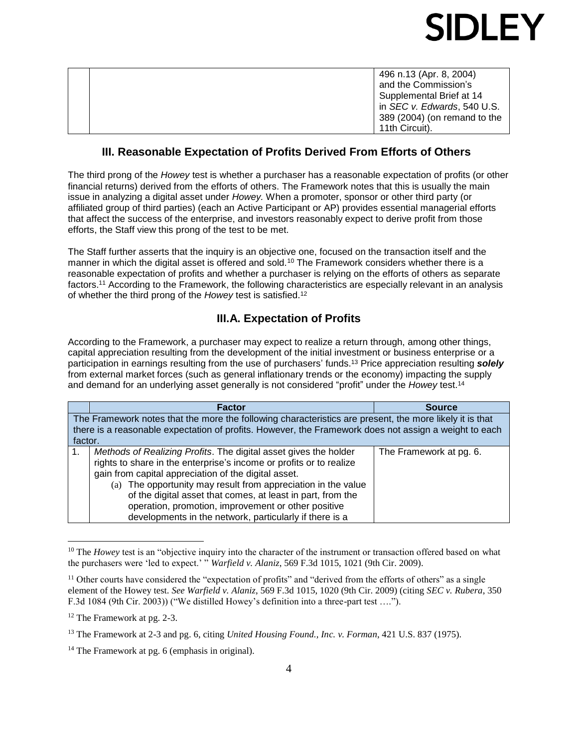|  | 496 n.13 (Apr. 8, 2004)             |
|--|-------------------------------------|
|  | and the Commission's                |
|  | Supplemental Brief at 14            |
|  | in <i>SEC v. Edwards</i> , 540 U.S. |
|  | 389 (2004) (on remand to the        |
|  | 11th Circuit).                      |

#### **III. Reasonable Expectation of Profits Derived From Efforts of Others**

The third prong of the *Howey* test is whether a purchaser has a reasonable expectation of profits (or other financial returns) derived from the efforts of others. The Framework notes that this is usually the main issue in analyzing a digital asset under *Howey.* When a promoter, sponsor or other third party (or affiliated group of third parties) (each an Active Participant or AP) provides essential managerial efforts that affect the success of the enterprise, and investors reasonably expect to derive profit from those efforts, the Staff view this prong of the test to be met.

The Staff further asserts that the inquiry is an objective one, focused on the transaction itself and the manner in which the digital asset is offered and sold.<sup>10</sup> The Framework considers whether there is a reasonable expectation of profits and whether a purchaser is relying on the efforts of others as separate factors. <sup>11</sup> According to the Framework, the following characteristics are especially relevant in an analysis of whether the third prong of the *Howey* test is satisfied.<sup>12</sup>

#### **III.A. Expectation of Profits**

According to the Framework, a purchaser may expect to realize a return through, among other things, capital appreciation resulting from the development of the initial investment or business enterprise or a participation in earnings resulting from the use of purchasers' funds.<sup>13</sup> Price appreciation resulting *solely*  from external market forces (such as general inflationary trends or the economy) impacting the supply and demand for an underlying asset generally is not considered "profit" under the *Howey* test.<sup>14</sup>

|         | <b>Factor</b>                                                                                           | <b>Source</b>           |  |
|---------|---------------------------------------------------------------------------------------------------------|-------------------------|--|
|         | The Framework notes that the more the following characteristics are present, the more likely it is that |                         |  |
|         | there is a reasonable expectation of profits. However, the Framework does not assign a weight to each   |                         |  |
| factor. |                                                                                                         |                         |  |
| 1.      | Methods of Realizing Profits. The digital asset gives the holder                                        | The Framework at pg. 6. |  |
|         | rights to share in the enterprise's income or profits or to realize                                     |                         |  |
|         | gain from capital appreciation of the digital asset.                                                    |                         |  |
|         | (a) The opportunity may result from appreciation in the value                                           |                         |  |
|         | of the digital asset that comes, at least in part, from the                                             |                         |  |
|         | operation, promotion, improvement or other positive                                                     |                         |  |
|         | developments in the network, particularly if there is a                                                 |                         |  |

<sup>&</sup>lt;sup>10</sup> The *Howey* test is an "objective inquiry into the character of the instrument or transaction offered based on what the purchasers were 'led to expect.' " *Warfield v. Alaniz*, 569 F.3d 1015, 1021 (9th Cir. 2009).

 $11$  Other courts have considered the "expectation of profits" and "derived from the efforts of others" as a single element of the Howey test. *See Warfield v. Alaniz*, 569 F.3d 1015, 1020 (9th Cir. 2009) (citing *SEC v. Rubera*, 350 F.3d 1084 (9th Cir. 2003)) ("We distilled Howey's definition into a three-part test ….").

<sup>&</sup>lt;sup>12</sup> The Framework at pg. 2-3.

<sup>13</sup> The Framework at 2-3 and pg. 6, citing *United Housing Found., Inc. v. Forman*, 421 U.S. 837 (1975).

 $14$  The Framework at pg. 6 (emphasis in original).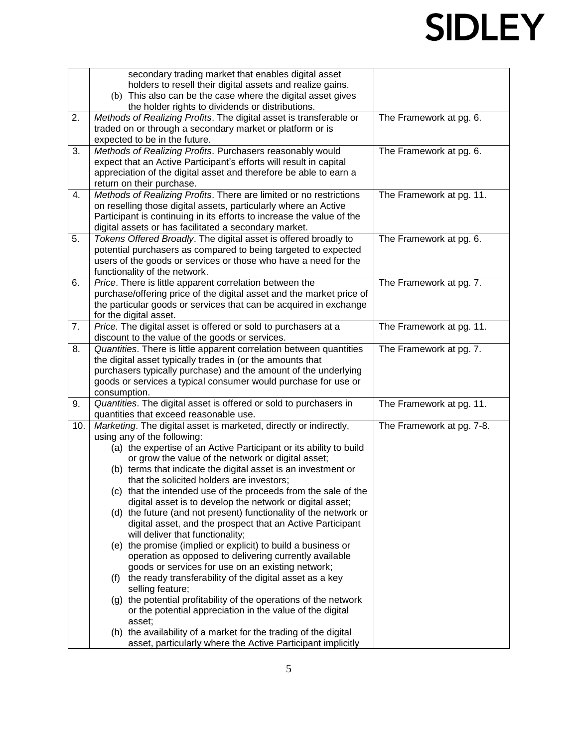|     | secondary trading market that enables digital asset                                                                            |                           |
|-----|--------------------------------------------------------------------------------------------------------------------------------|---------------------------|
|     | holders to resell their digital assets and realize gains.                                                                      |                           |
|     | (b) This also can be the case where the digital asset gives<br>the holder rights to dividends or distributions.                |                           |
| 2.  | Methods of Realizing Profits. The digital asset is transferable or                                                             | The Framework at pg. 6.   |
|     | traded on or through a secondary market or platform or is                                                                      |                           |
|     | expected to be in the future.                                                                                                  |                           |
| 3.  | Methods of Realizing Profits. Purchasers reasonably would                                                                      | The Framework at pg. 6.   |
|     | expect that an Active Participant's efforts will result in capital                                                             |                           |
|     | appreciation of the digital asset and therefore be able to earn a                                                              |                           |
|     | return on their purchase.                                                                                                      |                           |
| 4.  | Methods of Realizing Profits. There are limited or no restrictions                                                             | The Framework at pg. 11.  |
|     | on reselling those digital assets, particularly where an Active                                                                |                           |
|     | Participant is continuing in its efforts to increase the value of the                                                          |                           |
|     | digital assets or has facilitated a secondary market.                                                                          |                           |
| 5.  | Tokens Offered Broadly. The digital asset is offered broadly to                                                                | The Framework at pg. 6.   |
|     | potential purchasers as compared to being targeted to expected                                                                 |                           |
|     | users of the goods or services or those who have a need for the                                                                |                           |
| 6.  | functionality of the network.<br>Price. There is little apparent correlation between the                                       | The Framework at pg. 7.   |
|     | purchase/offering price of the digital asset and the market price of                                                           |                           |
|     | the particular goods or services that can be acquired in exchange                                                              |                           |
|     | for the digital asset.                                                                                                         |                           |
| 7.  | Price. The digital asset is offered or sold to purchasers at a                                                                 | The Framework at pg. 11.  |
|     | discount to the value of the goods or services.                                                                                |                           |
| 8.  | Quantities. There is little apparent correlation between quantities                                                            | The Framework at pg. 7.   |
|     | the digital asset typically trades in (or the amounts that                                                                     |                           |
|     | purchasers typically purchase) and the amount of the underlying                                                                |                           |
|     | goods or services a typical consumer would purchase for use or                                                                 |                           |
|     | consumption.                                                                                                                   |                           |
| 9.  | Quantities. The digital asset is offered or sold to purchasers in                                                              | The Framework at pg. 11.  |
|     | quantities that exceed reasonable use.                                                                                         |                           |
| 10. | Marketing. The digital asset is marketed, directly or indirectly,                                                              | The Framework at pg. 7-8. |
|     | using any of the following:                                                                                                    |                           |
|     | (a) the expertise of an Active Participant or its ability to build<br>or grow the value of the network or digital asset;       |                           |
|     | (b) terms that indicate the digital asset is an investment or                                                                  |                           |
|     | that the solicited holders are investors;                                                                                      |                           |
|     | (c) that the intended use of the proceeds from the sale of the                                                                 |                           |
|     | digital asset is to develop the network or digital asset;                                                                      |                           |
|     | (d) the future (and not present) functionality of the network or                                                               |                           |
|     | digital asset, and the prospect that an Active Participant                                                                     |                           |
|     | will deliver that functionality;                                                                                               |                           |
|     | (e) the promise (implied or explicit) to build a business or                                                                   |                           |
|     | operation as opposed to delivering currently available                                                                         |                           |
|     | goods or services for use on an existing network;                                                                              |                           |
|     | (f) the ready transferability of the digital asset as a key                                                                    |                           |
|     | selling feature;                                                                                                               |                           |
|     | (g) the potential profitability of the operations of the network                                                               |                           |
|     | or the potential appreciation in the value of the digital<br>asset;                                                            |                           |
|     |                                                                                                                                |                           |
|     |                                                                                                                                |                           |
|     | (h) the availability of a market for the trading of the digital<br>asset, particularly where the Active Participant implicitly |                           |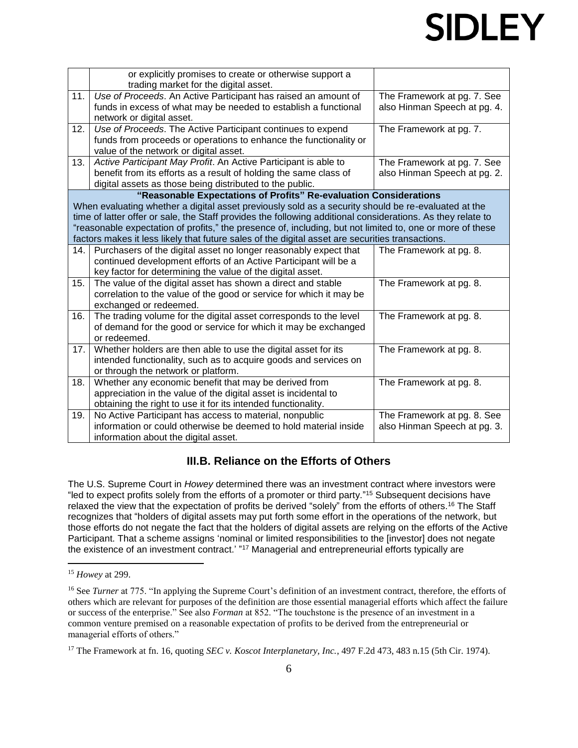|     | or explicitly promises to create or otherwise support a<br>trading market for the digital asset.                                     |                              |
|-----|--------------------------------------------------------------------------------------------------------------------------------------|------------------------------|
| 11. | Use of Proceeds. An Active Participant has raised an amount of                                                                       | The Framework at pg. 7. See  |
|     | funds in excess of what may be needed to establish a functional                                                                      | also Hinman Speech at pg. 4. |
|     | network or digital asset.                                                                                                            |                              |
| 12. | Use of Proceeds. The Active Participant continues to expend                                                                          | The Framework at pg. 7.      |
|     | funds from proceeds or operations to enhance the functionality or                                                                    |                              |
|     | value of the network or digital asset.                                                                                               |                              |
| 13. | Active Participant May Profit. An Active Participant is able to                                                                      | The Framework at pg. 7. See  |
|     | benefit from its efforts as a result of holding the same class of                                                                    | also Hinman Speech at pg. 2. |
|     | digital assets as those being distributed to the public.                                                                             |                              |
|     | "Reasonable Expectations of Profits" Re-evaluation Considerations                                                                    |                              |
|     | When evaluating whether a digital asset previously sold as a security should be re-evaluated at the                                  |                              |
|     | time of latter offer or sale, the Staff provides the following additional considerations. As they relate to                          |                              |
|     | "reasonable expectation of profits," the presence of, including, but not limited to, one or more of these                            |                              |
|     | factors makes it less likely that future sales of the digital asset are securities transactions.                                     |                              |
| 14. | Purchasers of the digital asset no longer reasonably expect that<br>continued development efforts of an Active Participant will be a | The Framework at pg. 8.      |
|     | key factor for determining the value of the digital asset.                                                                           |                              |
| 15. | The value of the digital asset has shown a direct and stable                                                                         | The Framework at pg. 8.      |
|     | correlation to the value of the good or service for which it may be                                                                  |                              |
|     | exchanged or redeemed.                                                                                                               |                              |
| 16. | The trading volume for the digital asset corresponds to the level                                                                    | The Framework at pg. 8.      |
|     | of demand for the good or service for which it may be exchanged                                                                      |                              |
|     | or redeemed.                                                                                                                         |                              |
| 17. | Whether holders are then able to use the digital asset for its                                                                       | The Framework at pg. 8.      |
|     | intended functionality, such as to acquire goods and services on                                                                     |                              |
|     | or through the network or platform.                                                                                                  |                              |
| 18. | Whether any economic benefit that may be derived from                                                                                | The Framework at pg. 8.      |
|     | appreciation in the value of the digital asset is incidental to                                                                      |                              |
|     | obtaining the right to use it for its intended functionality.                                                                        |                              |
| 19. | No Active Participant has access to material, nonpublic                                                                              | The Framework at pg. 8. See  |
|     | information or could otherwise be deemed to hold material inside                                                                     | also Hinman Speech at pg. 3. |
|     | information about the digital asset.                                                                                                 |                              |

### **III.B. Reliance on the Efforts of Others**

The U.S. Supreme Court in *Howey* determined there was an investment contract where investors were "led to expect profits solely from the efforts of a promoter or third party." <sup>15</sup> Subsequent decisions have relaxed the view that the expectation of profits be derived "solely" from the efforts of others.<sup>16</sup> The Staff recognizes that "holders of digital assets may put forth some effort in the operations of the network, but those efforts do not negate the fact that the holders of digital assets are relying on the efforts of the Active Participant. That a scheme assigns 'nominal or limited responsibilities to the [investor] does not negate the existence of an investment contract.' "<sup>17</sup> Managerial and entrepreneurial efforts typically are

<sup>15</sup> *Howey* at 299.

<sup>&</sup>lt;sup>16</sup> See *Turner* at 775. "In applying the Supreme Court's definition of an investment contract, therefore, the efforts of others which are relevant for purposes of the definition are those essential managerial efforts which affect the failure or success of the enterprise." See also *Forman* at 852. "The touchstone is the presence of an investment in a common venture premised on a reasonable expectation of profits to be derived from the entrepreneurial or managerial efforts of others."

<sup>&</sup>lt;sup>17</sup> The Framework at fn. 16, quoting *SEC v. Koscot Interplanetary, Inc.*, 497 F.2d 473, 483 n.15 (5th Cir. 1974).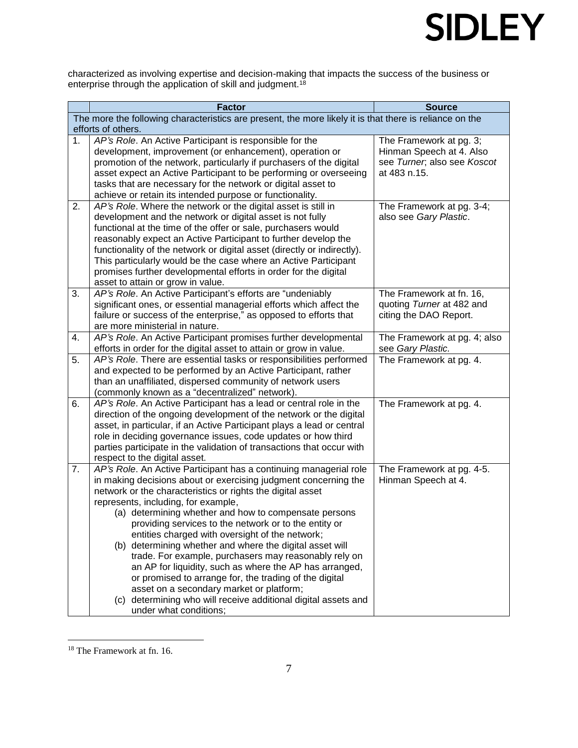characterized as involving expertise and decision-making that impacts the success of the business or enterprise through the application of skill and judgment.<sup>18</sup>

|    | <b>Factor</b>                                                                                                                          | <b>Source</b>                |  |  |  |
|----|----------------------------------------------------------------------------------------------------------------------------------------|------------------------------|--|--|--|
|    | The more the following characteristics are present, the more likely it is that there is reliance on the                                |                              |  |  |  |
|    | efforts of others.                                                                                                                     |                              |  |  |  |
| 1. | AP's Role. An Active Participant is responsible for the                                                                                | The Framework at pg. 3;      |  |  |  |
|    | development, improvement (or enhancement), operation or                                                                                | Hinman Speech at 4. Also     |  |  |  |
|    | promotion of the network, particularly if purchasers of the digital                                                                    | see Turner, also see Koscot  |  |  |  |
|    | asset expect an Active Participant to be performing or overseeing                                                                      | at 483 n.15.                 |  |  |  |
|    | tasks that are necessary for the network or digital asset to                                                                           |                              |  |  |  |
|    | achieve or retain its intended purpose or functionality.                                                                               |                              |  |  |  |
| 2. | AP's Role. Where the network or the digital asset is still in                                                                          | The Framework at pg. 3-4;    |  |  |  |
|    | development and the network or digital asset is not fully<br>functional at the time of the offer or sale, purchasers would             | also see Gary Plastic.       |  |  |  |
|    | reasonably expect an Active Participant to further develop the                                                                         |                              |  |  |  |
|    | functionality of the network or digital asset (directly or indirectly).                                                                |                              |  |  |  |
|    | This particularly would be the case where an Active Participant                                                                        |                              |  |  |  |
|    | promises further developmental efforts in order for the digital                                                                        |                              |  |  |  |
|    | asset to attain or grow in value.                                                                                                      |                              |  |  |  |
| 3. | AP's Role. An Active Participant's efforts are "undeniably                                                                             | The Framework at fn. 16,     |  |  |  |
|    | significant ones, or essential managerial efforts which affect the                                                                     | quoting Turner at 482 and    |  |  |  |
|    | failure or success of the enterprise," as opposed to efforts that                                                                      | citing the DAO Report.       |  |  |  |
|    | are more ministerial in nature.                                                                                                        |                              |  |  |  |
| 4. | AP's Role. An Active Participant promises further developmental                                                                        | The Framework at pg. 4; also |  |  |  |
|    | efforts in order for the digital asset to attain or grow in value.                                                                     | see Gary Plastic.            |  |  |  |
| 5. | AP's Role. There are essential tasks or responsibilities performed                                                                     | The Framework at pg. 4.      |  |  |  |
|    | and expected to be performed by an Active Participant, rather                                                                          |                              |  |  |  |
|    | than an unaffiliated, dispersed community of network users                                                                             |                              |  |  |  |
|    | (commonly known as a "decentralized" network).                                                                                         |                              |  |  |  |
| 6. | AP's Role. An Active Participant has a lead or central role in the                                                                     | The Framework at pg. 4.      |  |  |  |
|    | direction of the ongoing development of the network or the digital                                                                     |                              |  |  |  |
|    | asset, in particular, if an Active Participant plays a lead or central                                                                 |                              |  |  |  |
|    | role in deciding governance issues, code updates or how third<br>parties participate in the validation of transactions that occur with |                              |  |  |  |
|    | respect to the digital asset.                                                                                                          |                              |  |  |  |
| 7. | AP's Role. An Active Participant has a continuing managerial role                                                                      | The Framework at pg. 4-5.    |  |  |  |
|    | in making decisions about or exercising judgment concerning the                                                                        | Hinman Speech at 4.          |  |  |  |
|    | network or the characteristics or rights the digital asset                                                                             |                              |  |  |  |
|    | represents, including, for example,                                                                                                    |                              |  |  |  |
|    | (a) determining whether and how to compensate persons                                                                                  |                              |  |  |  |
|    | providing services to the network or to the entity or                                                                                  |                              |  |  |  |
|    | entities charged with oversight of the network;                                                                                        |                              |  |  |  |
|    | (b) determining whether and where the digital asset will                                                                               |                              |  |  |  |
|    | trade. For example, purchasers may reasonably rely on                                                                                  |                              |  |  |  |
|    | an AP for liquidity, such as where the AP has arranged,                                                                                |                              |  |  |  |
|    | or promised to arrange for, the trading of the digital                                                                                 |                              |  |  |  |
|    | asset on a secondary market or platform;                                                                                               |                              |  |  |  |
|    | (c) determining who will receive additional digital assets and                                                                         |                              |  |  |  |
|    | under what conditions;                                                                                                                 |                              |  |  |  |

<sup>&</sup>lt;sup>18</sup> The Framework at fn. 16.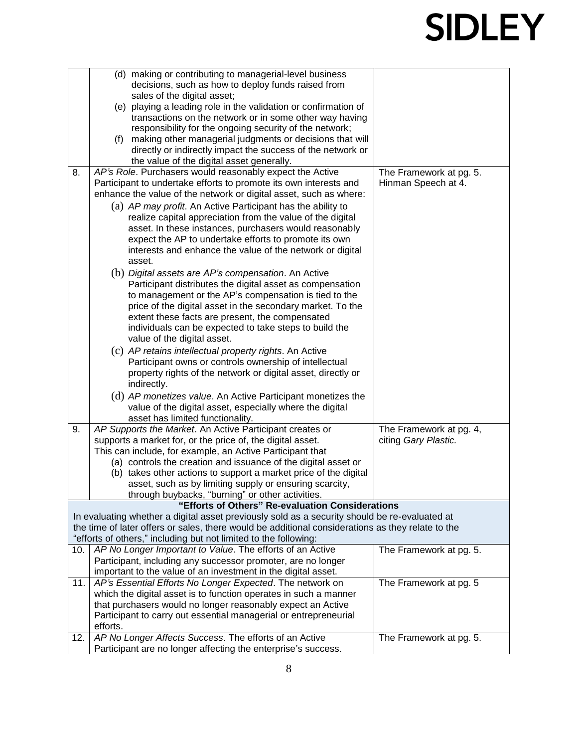|     |          | (d) making or contributing to managerial-level business                                           |                         |
|-----|----------|---------------------------------------------------------------------------------------------------|-------------------------|
|     |          | decisions, such as how to deploy funds raised from                                                |                         |
|     |          | sales of the digital asset;                                                                       |                         |
|     |          | (e) playing a leading role in the validation or confirmation of                                   |                         |
|     |          | transactions on the network or in some other way having                                           |                         |
|     |          | responsibility for the ongoing security of the network;                                           |                         |
|     | (f)      | making other managerial judgments or decisions that will                                          |                         |
|     |          | directly or indirectly impact the success of the network or                                       |                         |
|     |          | the value of the digital asset generally.                                                         |                         |
| 8.  |          | AP's Role. Purchasers would reasonably expect the Active                                          | The Framework at pg. 5. |
|     |          | Participant to undertake efforts to promote its own interests and                                 | Hinman Speech at 4.     |
|     |          | enhance the value of the network or digital asset, such as where:                                 |                         |
|     |          | (a) AP may profit. An Active Participant has the ability to                                       |                         |
|     |          | realize capital appreciation from the value of the digital                                        |                         |
|     |          | asset. In these instances, purchasers would reasonably                                            |                         |
|     |          |                                                                                                   |                         |
|     |          | expect the AP to undertake efforts to promote its own                                             |                         |
|     |          | interests and enhance the value of the network or digital                                         |                         |
|     |          | asset.                                                                                            |                         |
|     |          | (b) Digital assets are AP's compensation. An Active                                               |                         |
|     |          | Participant distributes the digital asset as compensation                                         |                         |
|     |          | to management or the AP's compensation is tied to the                                             |                         |
|     |          | price of the digital asset in the secondary market. To the                                        |                         |
|     |          | extent these facts are present, the compensated                                                   |                         |
|     |          | individuals can be expected to take steps to build the                                            |                         |
|     |          | value of the digital asset.                                                                       |                         |
|     |          | (c) AP retains intellectual property rights. An Active                                            |                         |
|     |          | Participant owns or controls ownership of intellectual                                            |                         |
|     |          | property rights of the network or digital asset, directly or                                      |                         |
|     |          | indirectly.                                                                                       |                         |
|     |          | (d) AP monetizes value. An Active Participant monetizes the                                       |                         |
|     |          | value of the digital asset, especially where the digital                                          |                         |
|     |          |                                                                                                   |                         |
|     |          | asset has limited functionality.                                                                  |                         |
| 9.  |          | AP Supports the Market. An Active Participant creates or                                          | The Framework at pg. 4, |
|     |          | supports a market for, or the price of, the digital asset.                                        | citing Gary Plastic.    |
|     |          | This can include, for example, an Active Participant that                                         |                         |
|     |          | (a) controls the creation and issuance of the digital asset or                                    |                         |
|     |          | (b) takes other actions to support a market price of the digital                                  |                         |
|     |          | asset, such as by limiting supply or ensuring scarcity,                                           |                         |
|     |          | through buybacks, "burning" or other activities.                                                  |                         |
|     |          | "Efforts of Others" Re-evaluation Considerations                                                  |                         |
|     |          | In evaluating whether a digital asset previously sold as a security should be re-evaluated at     |                         |
|     |          | the time of later offers or sales, there would be additional considerations as they relate to the |                         |
|     |          | "efforts of others," including but not limited to the following:                                  |                         |
| 10. |          | AP No Longer Important to Value. The efforts of an Active                                         | The Framework at pg. 5. |
|     |          | Participant, including any successor promoter, are no longer                                      |                         |
|     |          | important to the value of an investment in the digital asset.                                     |                         |
| 11. |          | AP's Essential Efforts No Longer Expected. The network on                                         | The Framework at pg. 5  |
|     |          | which the digital asset is to function operates in such a manner                                  |                         |
|     |          | that purchasers would no longer reasonably expect an Active                                       |                         |
|     |          | Participant to carry out essential managerial or entrepreneurial                                  |                         |
|     | efforts. |                                                                                                   |                         |
| 12. |          | AP No Longer Affects Success. The efforts of an Active                                            | The Framework at pg. 5. |
|     |          | Participant are no longer affecting the enterprise's success.                                     |                         |
|     |          |                                                                                                   |                         |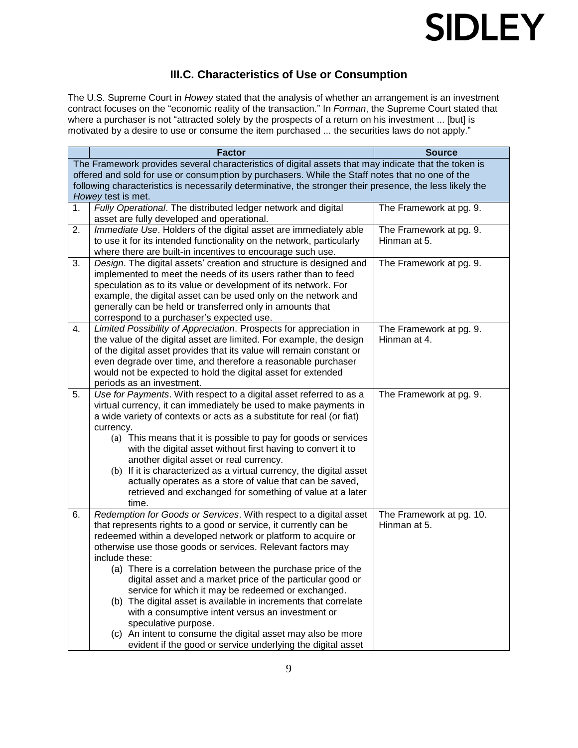

### **III.C. Characteristics of Use or Consumption**

The U.S. Supreme Court in *Howey* stated that the analysis of whether an arrangement is an investment contract focuses on the "economic reality of the transaction." In *Forman*, the Supreme Court stated that where a purchaser is not "attracted solely by the prospects of a return on his investment ... [but] is motivated by a desire to use or consume the item purchased ... the securities laws do not apply."

|    | <b>Factor</b>                                                                                            | <b>Source</b>                            |  |  |  |
|----|----------------------------------------------------------------------------------------------------------|------------------------------------------|--|--|--|
|    | The Framework provides several characteristics of digital assets that may indicate that the token is     |                                          |  |  |  |
|    | offered and sold for use or consumption by purchasers. While the Staff notes that no one of the          |                                          |  |  |  |
|    | following characteristics is necessarily determinative, the stronger their presence, the less likely the |                                          |  |  |  |
|    | Howey test is met.                                                                                       |                                          |  |  |  |
| 1. | Fully Operational. The distributed ledger network and digital                                            | The Framework at pg. 9.                  |  |  |  |
|    | asset are fully developed and operational.                                                               |                                          |  |  |  |
| 2. | Immediate Use. Holders of the digital asset are immediately able                                         | The Framework at pg. 9.                  |  |  |  |
|    | to use it for its intended functionality on the network, particularly                                    | Hinman at 5.                             |  |  |  |
|    | where there are built-in incentives to encourage such use.                                               |                                          |  |  |  |
| 3. | Design. The digital assets' creation and structure is designed and                                       | The Framework at pg. 9.                  |  |  |  |
|    | implemented to meet the needs of its users rather than to feed                                           |                                          |  |  |  |
|    | speculation as to its value or development of its network. For                                           |                                          |  |  |  |
|    | example, the digital asset can be used only on the network and                                           |                                          |  |  |  |
|    | generally can be held or transferred only in amounts that                                                |                                          |  |  |  |
|    | correspond to a purchaser's expected use.                                                                |                                          |  |  |  |
| 4. | Limited Possibility of Appreciation. Prospects for appreciation in                                       | The Framework at pg. 9.                  |  |  |  |
|    | the value of the digital asset are limited. For example, the design                                      | Hinman at 4.                             |  |  |  |
|    | of the digital asset provides that its value will remain constant or                                     |                                          |  |  |  |
|    | even degrade over time, and therefore a reasonable purchaser                                             |                                          |  |  |  |
|    | would not be expected to hold the digital asset for extended                                             |                                          |  |  |  |
|    | periods as an investment.                                                                                |                                          |  |  |  |
| 5. | Use for Payments. With respect to a digital asset referred to as a                                       | The Framework at pg. 9.                  |  |  |  |
|    | virtual currency, it can immediately be used to make payments in                                         |                                          |  |  |  |
|    | a wide variety of contexts or acts as a substitute for real (or fiat)                                    |                                          |  |  |  |
|    | currency.                                                                                                |                                          |  |  |  |
|    | (a) This means that it is possible to pay for goods or services                                          |                                          |  |  |  |
|    | with the digital asset without first having to convert it to                                             |                                          |  |  |  |
|    | another digital asset or real currency.                                                                  |                                          |  |  |  |
|    | (b) If it is characterized as a virtual currency, the digital asset                                      |                                          |  |  |  |
|    | actually operates as a store of value that can be saved,                                                 |                                          |  |  |  |
|    | retrieved and exchanged for something of value at a later                                                |                                          |  |  |  |
|    | time.<br>Redemption for Goods or Services. With respect to a digital asset                               |                                          |  |  |  |
| 6. | that represents rights to a good or service, it currently can be                                         | The Framework at pg. 10.<br>Hinman at 5. |  |  |  |
|    | redeemed within a developed network or platform to acquire or                                            |                                          |  |  |  |
|    | otherwise use those goods or services. Relevant factors may                                              |                                          |  |  |  |
|    | include these:                                                                                           |                                          |  |  |  |
|    | (a) There is a correlation between the purchase price of the                                             |                                          |  |  |  |
|    | digital asset and a market price of the particular good or                                               |                                          |  |  |  |
|    | service for which it may be redeemed or exchanged.                                                       |                                          |  |  |  |
|    | (b) The digital asset is available in increments that correlate                                          |                                          |  |  |  |
|    | with a consumptive intent versus an investment or                                                        |                                          |  |  |  |
|    | speculative purpose.                                                                                     |                                          |  |  |  |
|    | (c) An intent to consume the digital asset may also be more                                              |                                          |  |  |  |
|    | evident if the good or service underlying the digital asset                                              |                                          |  |  |  |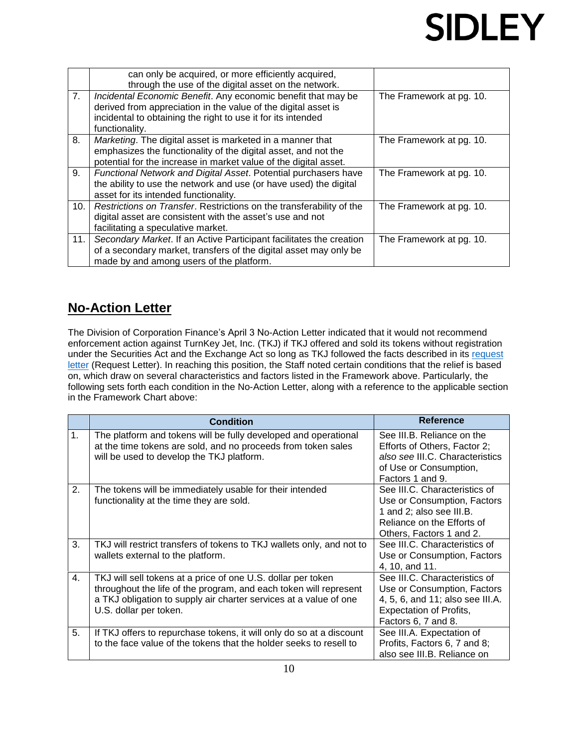|     | can only be acquired, or more efficiently acquired,<br>through the use of the digital asset on the network.                                                                                                       |                          |
|-----|-------------------------------------------------------------------------------------------------------------------------------------------------------------------------------------------------------------------|--------------------------|
| 7.  | Incidental Economic Benefit. Any economic benefit that may be<br>derived from appreciation in the value of the digital asset is<br>incidental to obtaining the right to use it for its intended<br>functionality. | The Framework at pg. 10. |
| 8.  | Marketing. The digital asset is marketed in a manner that<br>emphasizes the functionality of the digital asset, and not the<br>potential for the increase in market value of the digital asset.                   | The Framework at pg. 10. |
| 9.  | Functional Network and Digital Asset. Potential purchasers have<br>the ability to use the network and use (or have used) the digital<br>asset for its intended functionality.                                     | The Framework at pg. 10. |
| 10. | Restrictions on Transfer. Restrictions on the transferability of the<br>digital asset are consistent with the asset's use and not<br>facilitating a speculative market.                                           | The Framework at pg. 10. |
| 11. | Secondary Market. If an Active Participant facilitates the creation<br>of a secondary market, transfers of the digital asset may only be<br>made by and among users of the platform.                              | The Framework at pg. 10. |

### **No-Action Letter**

The Division of Corporation Finance's April 3 No-Action Letter indicated that it would not recommend enforcement action against TurnKey Jet, Inc. (TKJ) if TKJ offered and sold its tokens without registration under the Securities Act and the Exchange Act so long as TKJ followed the facts described in its request [letter](https://www.sec.gov/divisions/corpfin/cf-noaction/2019/turnkey-jet-040219-2a1-incoming.pdf) (Request Letter). In reaching this position, the Staff noted certain conditions that the relief is based on, which draw on several characteristics and factors listed in the Framework above. Particularly, the following sets forth each condition in the No-Action Letter, along with a reference to the applicable section in the Framework Chart above:

|    | <b>Condition</b>                                                                                                                                                                                                                 | Reference                                                                                                                                                 |
|----|----------------------------------------------------------------------------------------------------------------------------------------------------------------------------------------------------------------------------------|-----------------------------------------------------------------------------------------------------------------------------------------------------------|
| 1. | The platform and tokens will be fully developed and operational<br>at the time tokens are sold, and no proceeds from token sales<br>will be used to develop the TKJ platform.                                                    | See III.B. Reliance on the<br>Efforts of Others, Factor 2;<br>also see III.C. Characteristics<br>of Use or Consumption,<br>Factors 1 and 9.               |
| 2. | The tokens will be immediately usable for their intended<br>functionality at the time they are sold.                                                                                                                             | See III.C. Characteristics of<br>Use or Consumption, Factors<br>1 and 2; also see III.B.<br>Reliance on the Efforts of<br>Others, Factors 1 and 2.        |
| 3. | TKJ will restrict transfers of tokens to TKJ wallets only, and not to<br>wallets external to the platform.                                                                                                                       | See III.C. Characteristics of<br>Use or Consumption, Factors<br>4, 10, and 11.                                                                            |
| 4. | TKJ will sell tokens at a price of one U.S. dollar per token<br>throughout the life of the program, and each token will represent<br>a TKJ obligation to supply air charter services at a value of one<br>U.S. dollar per token. | See III.C. Characteristics of<br>Use or Consumption, Factors<br>4, 5, 6, and 11; also see III.A.<br><b>Expectation of Profits,</b><br>Factors 6, 7 and 8. |
| 5. | If TKJ offers to repurchase tokens, it will only do so at a discount<br>to the face value of the tokens that the holder seeks to resell to                                                                                       | See III.A. Expectation of<br>Profits, Factors 6, 7 and 8;<br>also see III.B. Reliance on                                                                  |